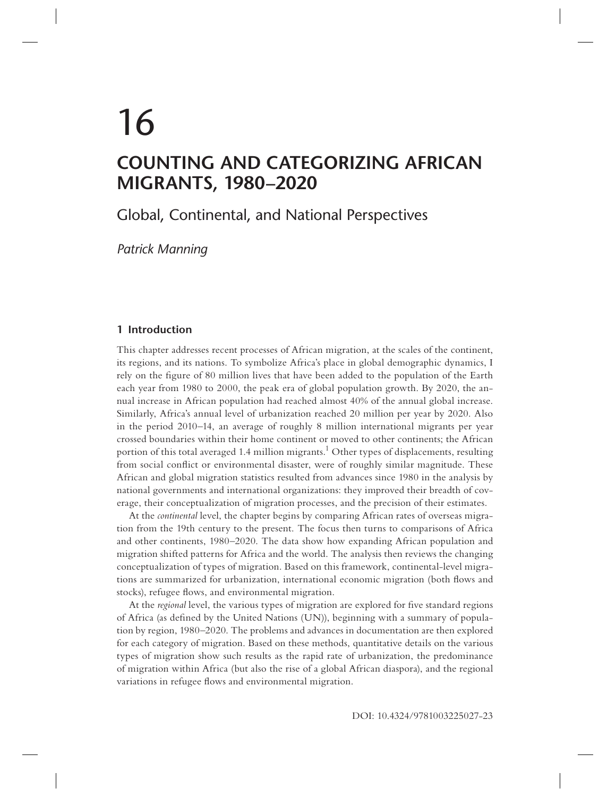# 16 **COUNTING AND CATEGORIZING AFRICAN MIGRANTS, 1980–2020**

Global, Continental, and National Perspectives

*Patrick Manning*

# **1 Introduction**

This chapter addresses recent processes of African migration, at the scales of the continent, its regions, and its nations. To symbolize Africa's place in global demographic dynamics, I rely on the figure of 80 million lives that have been added to the population of the Earth each year from 1980 to 2000, the peak era of global population growth. By 2020, the annual increase in African population had reached almost 40% of the annual global increase. Similarly, Africa's annual level of urbanization reached 20 million per year by 2020. Also in the period 2010–14, an average of roughly 8 million international migrants per year crossed boundaries within their home continent or moved to other continents; the African portion of this total averaged 1.4 million migrants.<sup>1</sup> Other types of displacements, resulting from social conflict or environmental disaster, were of roughly similar magnitude. These African and global migration statistics resulted from advances since 1980 in the analysis by national governments and international organizations: they improved their breadth of coverage, their conceptualization of migration processes, and the precision of their estimates.

At the *continental* level, the chapter begins by comparing African rates of overseas migration from the 19th century to the present. The focus then turns to comparisons of Africa and other continents, 1980–2020. The data show how expanding African population and migration shifted patterns for Africa and the world. The analysis then reviews the changing conceptualization of types of migration. Based on this framework, continental-level migrations are summarized for urbanization, international economic migration (both flows and stocks), refugee flows, and environmental migration.

At the *regional* level, the various types of migration are explored for five standard regions of Africa (as defined by the United Nations (UN)), beginning with a summary of population by region, 1980–2020. The problems and advances in documentation are then explored for each category of migration. Based on these methods, quantitative details on the various types of migration show such results as the rapid rate of urbanization, the predominance of migration within Africa (but also the rise of a global African diaspora), and the regional variations in refugee flows and environmental migration.

DOI: 10.4324/9781003225027-23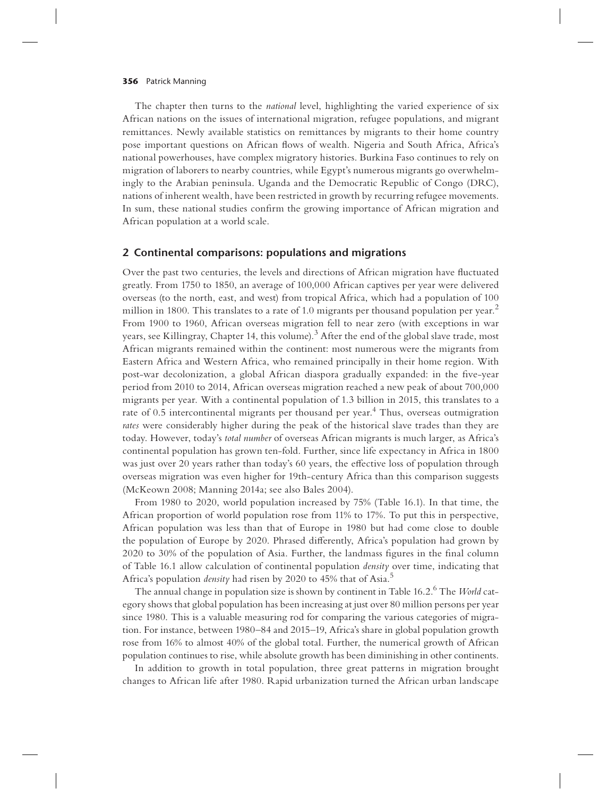The chapter then turns to the *national* level, highlighting the varied experience of six African nations on the issues of international migration, refugee populations, and migrant remittances. Newly available statistics on remittances by migrants to their home country pose important questions on African flows of wealth. Nigeria and South Africa, Africa's national powerhouses, have complex migratory histories. Burkina Faso continues to rely on migration of laborers to nearby countries, while Egypt's numerous migrants go overwhelmingly to the Arabian peninsula. Uganda and the Democratic Republic of Congo (DRC), nations of inherent wealth, have been restricted in growth by recurring refugee movements. In sum, these national studies confirm the growing importance of African migration and African population at a world scale.

## **2 Continental comparisons: populations and migrations**

Over the past two centuries, the levels and directions of African migration have fluctuated greatly. From 1750 to 1850, an average of 100,000 African captives per year were delivered overseas (to the north, east, and west) from tropical Africa, which had a population of 100 million in 1800. This translates to a rate of 1.0 migrants per thousand population per year.<sup>2</sup> From 1900 to 1960, African overseas migration fell to near zero (with exceptions in war years, see Killingray, Chapter 14, this volume). $^3$  After the end of the global slave trade, most African migrants remained within the continent: most numerous were the migrants from Eastern Africa and Western Africa, who remained principally in their home region. With post-war decolonization, a global African diaspora gradually expanded: in the five-year period from 2010 to 2014, African overseas migration reached a new peak of about 700,000 migrants per year. With a continental population of 1.3 billion in 2015, this translates to a rate of 0.5 intercontinental migrants per thousand per year.<sup>4</sup> Thus, overseas outmigration *rates* were considerably higher during the peak of the historical slave trades than they are today. However, today's *total number* of overseas African migrants is much larger, as Africa's continental population has grown ten-fold. Further, since life expectancy in Africa in 1800 was just over 20 years rather than today's 60 years, the effective loss of population through overseas migration was even higher for 19th-century Africa than this comparison suggests (McKeown 2008; Manning 2014a; see also Bales 2004).

From 1980 to 2020, world population increased by 75% (Table 16.1). In that time, the African proportion of world population rose from 11% to 17%. To put this in perspective, African population was less than that of Europe in 1980 but had come close to double the population of Europe by 2020. Phrased differently, Africa's population had grown by  $2020$  to  $30\%$  of the population of Asia. Further, the landmass figures in the final column of Table 16.1 allow calculation of continental population *density* over time, indicating that Africa's population *density* had risen by 2020 to 45% that of Asia.<sup>5</sup>

The annual change in population size is shown by continent in Table 16.2.6 The *World* category shows that global population has been increasing at just over 80 million persons per year since 1980. This is a valuable measuring rod for comparing the various categories of migration. For instance, between 1980–84 and 2015–19, Africa's share in global population growth rose from 16% to almost 40% of the global total. Further, the numerical growth of African population continues to rise, while absolute growth has been diminishing in other continents.

In addition to growth in total population, three great patterns in migration brought changes to African life after 1980. Rapid urbanization turned the African urban landscape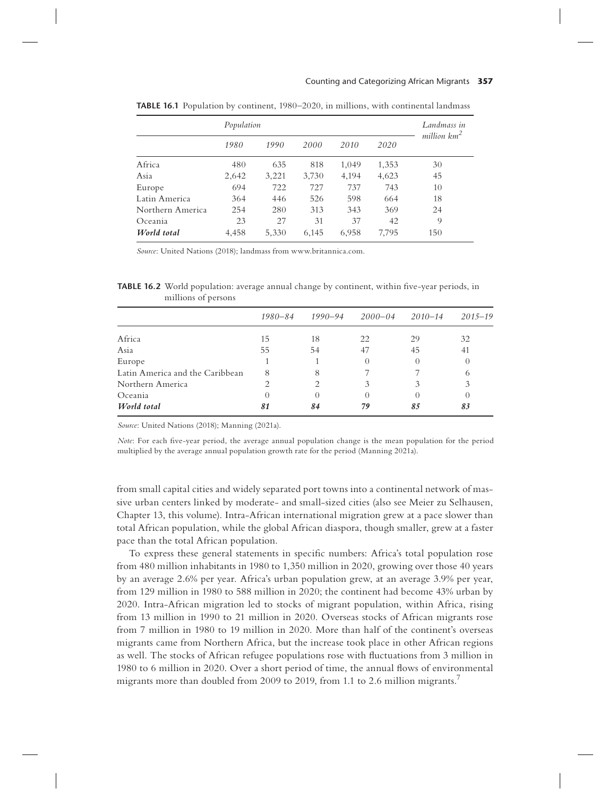#### Counting and Categorizing African Migrants **357**

|                  | Population | Landmass in |       |       |       |                |
|------------------|------------|-------------|-------|-------|-------|----------------|
|                  | 1980       | 1990        | 2000  | 2010  | 2020  | million $km^2$ |
| Africa           | 480        | 635         | 818   | 1,049 | 1,353 | 30             |
| Asia             | 2,642      | 3,221       | 3,730 | 4,194 | 4,623 | 45             |
| Europe           | 694        | 722         | 727   | 737   | 743   | 10             |
| Latin America    | 364        | 446         | 526   | 598   | 664   | 18             |
| Northern America | 254        | 280         | 313   | 343   | 369   | 24             |
| Oceania          | 23         | 27          | 31    | 37    | 42    | 9              |
| World total      | 4,458      | 5,330       | 6,145 | 6,958 | 7,795 | 150            |

**TABLE 16.1** Population by continent, 1980–2020, in millions, with continental landmass

*Source*: United Nations (2018); landmass from www.britannica.com.

TABLE 16.2 World population: average annual change by continent, within five-year periods, in millions of persons

|                                 | 1980–84 | 1990–94 | $2000 - 04$ | $2010 - 14$ | $2015 - 19$      |
|---------------------------------|---------|---------|-------------|-------------|------------------|
| Africa                          | 15      | 18      | 22          | 29          | 32               |
| Asia                            | 55      | 54      | 47          | 45          | 41               |
| Europe                          |         |         |             |             | $\left( \right)$ |
| Latin America and the Caribbean | 8       | 8       |             |             | 6                |
| Northern America                |         |         |             |             | 3                |
| Oceania                         |         |         |             |             |                  |
| World total                     | 81      | 84      | 79          | 85          | 83               |

*Source*: United Nations (2018); Manning (2021a).

*Note*: For each five-year period, the average annual population change is the mean population for the period multiplied by the average annual population growth rate for the period (Manning 2021a).

from small capital cities and widely separated port towns into a continental network of massive urban centers linked by moderate- and small-sized cities (also see Meier zu Selhausen, Chapter 13, this volume). Intra-African international migration grew at a pace slower than total African population, while the global African diaspora, though smaller, grew at a faster pace than the total African population.

To express these general statements in specific numbers: Africa's total population rose from 480 million inhabitants in 1980 to 1,350 million in 2020, growing over those 40 years by an average 2.6% per year. Africa's urban population grew, at an average 3.9% per year, from 129 million in 1980 to 588 million in 2020; the continent had become 43% urban by 2020. Intra-African migration led to stocks of migrant population, within Africa, rising from 13 million in 1990 to 21 million in 2020. Overseas stocks of African migrants rose from 7 million in 1980 to 19 million in 2020. More than half of the continent's overseas migrants came from Northern Africa, but the increase took place in other African regions as well. The stocks of African refugee populations rose with fluctuations from 3 million in 1980 to 6 million in 2020. Over a short period of time, the annual flows of environmental migrants more than doubled from 2009 to 2019, from 1.1 to 2.6 million migrants.<sup>7</sup>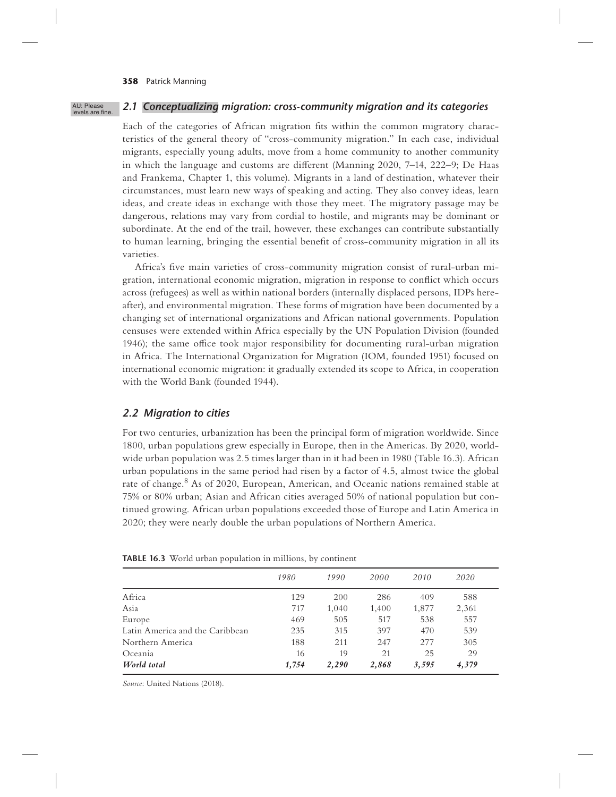| AU: Please       |
|------------------|
| levels are fine. |

# *2.1 Conceptualizing migration: cross-community migration and its categories*

Each of the categories of African migration fits within the common migratory characteristics of the general theory of "cross-community migration." In each case, individual migrants, especially young adults, move from a home community to another community in which the language and customs are different (Manning  $2020$ ,  $7-14$ ,  $222-9$ ; De Haas and Frankema, Chapter 1, this volume). Migrants in a land of destination, whatever their circumstances, must learn new ways of speaking and acting. They also convey ideas, learn ideas, and create ideas in exchange with those they meet. The migratory passage may be dangerous, relations may vary from cordial to hostile, and migrants may be dominant or subordinate. At the end of the trail, however, these exchanges can contribute substantially to human learning, bringing the essential benefit of cross-community migration in all its varieties.

Africa's five main varieties of cross-community migration consist of rural-urban migration, international economic migration, migration in response to conflict which occurs across (refugees) as well as within national borders (internally displaced persons, IDPs hereafter), and environmental migration. These forms of migration have been documented by a changing set of international organizations and African national governments. Population censuses were extended within Africa especially by the UN Population Division (founded 1946); the same office took major responsibility for documenting rural-urban migration in Africa. The International Organization for Migration (IOM, founded 1951) focused on international economic migration: it gradually extended its scope to Africa, in cooperation with the World Bank (founded 1944).

## *2.2 Migration to cities*

For two centuries, urbanization has been the principal form of migration worldwide. Since 1800, urban populations grew especially in Europe, then in the Americas. By 2020, worldwide urban population was 2.5 times larger than in it had been in 1980 (Table 16.3). African urban populations in the same period had risen by a factor of 4.5, almost twice the global rate of change.<sup>8</sup> As of 2020, European, American, and Oceanic nations remained stable at 75% or 80% urban; Asian and African cities averaged 50% of national population but continued growing. African urban populations exceeded those of Europe and Latin America in 2020; they were nearly double the urban populations of Northern America.

|                                 | 1980  | 1990  | 2000  | 2010  | 2020  |  |
|---------------------------------|-------|-------|-------|-------|-------|--|
| Africa                          | 129   | 200   | 286   | 409   | 588   |  |
| Asia                            | 717   | 1.040 | 1,400 | 1,877 | 2,361 |  |
| Europe                          | 469   | 505   | 517   | 538   | 557   |  |
| Latin America and the Caribbean | 235   | 315   | 397   | 470   | 539   |  |
| Northern America                | 188   | 211   | 247   | 277   | 305   |  |
| Oceania                         | 16    | 19    | 21    | 25    | 29    |  |
| World total                     | 1,754 | 2,290 | 2,868 | 3,595 | 4,379 |  |

**TABLE 16.3** World urban population in millions, by continent

*Source*: United Nations (2018).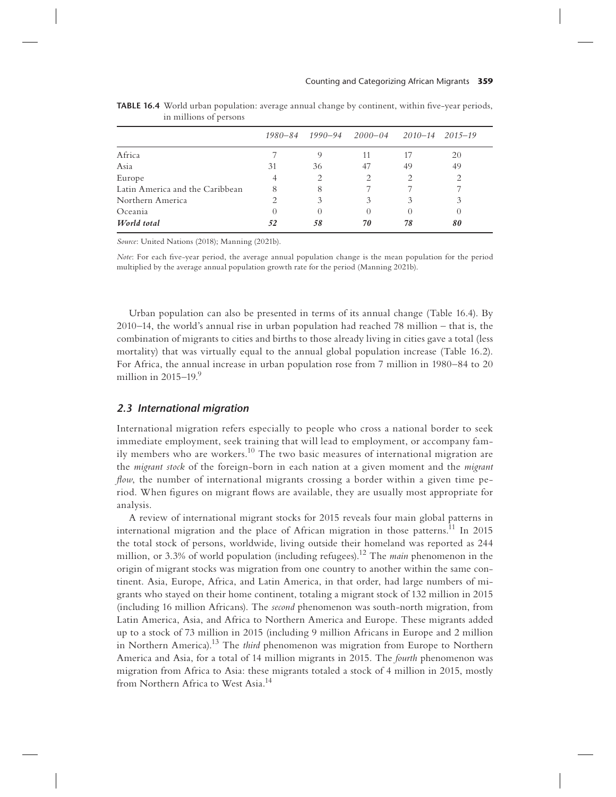|                                 | 1980–84 |                  | 1990–94 2000–04 2010–14     |                  | 2015–19                                                                                                                                                         |
|---------------------------------|---------|------------------|-----------------------------|------------------|-----------------------------------------------------------------------------------------------------------------------------------------------------------------|
| Africa                          |         | 9                | 11                          | 17               | 20                                                                                                                                                              |
| Asia                            | 31      | 36               | 47                          | 49               | 49                                                                                                                                                              |
| Europe                          |         | 2                | $\mathcal{D}_{\mathcal{L}}$ | 2                | $\mathcal{D}_{\mathcal{L}}^{\mathcal{L}}(\mathcal{L})=\mathcal{L}_{\mathcal{L}}^{\mathcal{L}}(\mathcal{L})\mathcal{L}_{\mathcal{L}}^{\mathcal{L}}(\mathcal{L})$ |
| Latin America and the Caribbean | 8       | 8                |                             |                  |                                                                                                                                                                 |
| Northern America                |         | 3                | 3                           | 3                | 3                                                                                                                                                               |
| Oceania                         |         | $\left( \right)$ | $\Omega$                    | $\left( \right)$ | O                                                                                                                                                               |
| World total                     | 52      | 58               | 70                          | 78               | 80                                                                                                                                                              |

**TABLE 16.4** World urban population: average annual change by continent, within five-year periods, in millions of persons

*Source*: United Nations (2018); Manning (2021b).

*Note*: For each five-year period, the average annual population change is the mean population for the period multiplied by the average annual population growth rate for the period (Manning 2021b).

Urban population can also be presented in terms of its annual change (Table 16.4). By 2010–14, the world's annual rise in urban population had reached 78 million – that is, the combination of migrants to cities and births to those already living in cities gave a total (less mortality) that was virtually equal to the annual global population increase (Table 16.2). For Africa, the annual increase in urban population rose from 7 million in 1980–84 to 20 million in 2015–19. $9$ 

## *2.3 International migration*

International migration refers especially to people who cross a national border to seek immediate employment, seek training that will lead to employment, or accompany family members who are workers.<sup>10</sup> The two basic measures of international migration are the *migrant stock* of the foreign-born in each nation at a given moment and the *migrant flow*, the number of international migrants crossing a border within a given time period. When figures on migrant flows are available, they are usually most appropriate for analysis.

A review of international migrant stocks for 2015 reveals four main global patterns in international migration and the place of African migration in those patterns.<sup>11</sup> In 2015 the total stock of persons, worldwide, living outside their homeland was reported as 244 million, or 3.3% of world population (including refugees).12 The *main* phenomenon in the origin of migrant stocks was migration from one country to another within the same continent. Asia, Europe, Africa, and Latin America, in that order, had large numbers of migrants who stayed on their home continent, totaling a migrant stock of 132 million in 2015 (including 16 million Africans). The *second* phenomenon was south-north migration, from Latin America, Asia, and Africa to Northern America and Europe. These migrants added up to a stock of 73 million in 2015 (including 9 million Africans in Europe and 2 million in Northern America).13 The *third* phenomenon was migration from Europe to Northern America and Asia, for a total of 14 million migrants in 2015. The *fourth* phenomenon was migration from Africa to Asia: these migrants totaled a stock of 4 million in 2015, mostly from Northern Africa to West Asia.<sup>14</sup>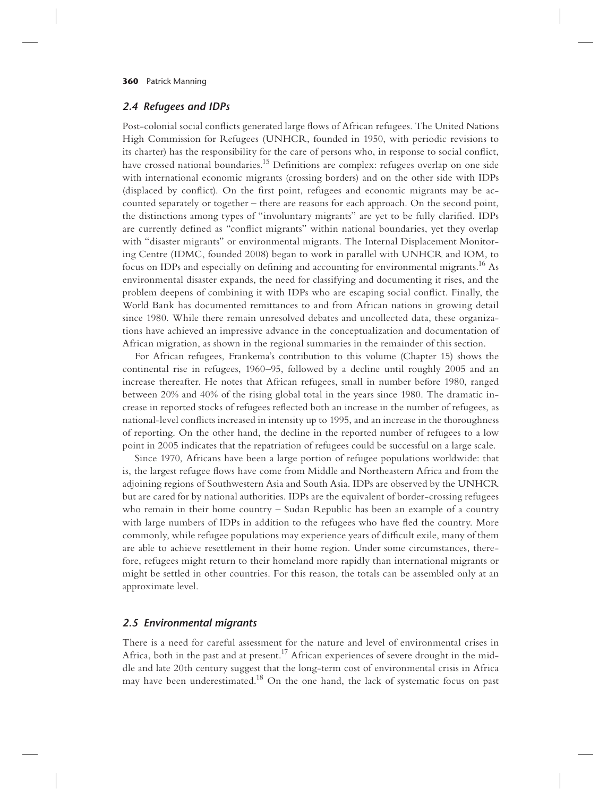#### *2.4 Refugees and IDPs*

Post-colonial social conflicts generated large flows of African refugees. The United Nations High Commission for Refugees (UNHCR, founded in 1950, with periodic revisions to its charter) has the responsibility for the care of persons who, in response to social conflict, have crossed national boundaries.<sup>15</sup> Definitions are complex: refugees overlap on one side with international economic migrants (crossing borders) and on the other side with IDPs (displaced by conflict). On the first point, refugees and economic migrants may be accounted separately or together – there are reasons for each approach. On the second point, the distinctions among types of "involuntary migrants" are yet to be fully clarified. IDPs are currently defined as "conflict migrants" within national boundaries, yet they overlap with "disaster migrants" or environmental migrants. The Internal Displacement Monitoring Centre (IDMC, founded 2008) began to work in parallel with UNHCR and IOM, to focus on IDPs and especially on defining and accounting for environmental migrants.<sup>16</sup> As environmental disaster expands, the need for classifying and documenting it rises, and the problem deepens of combining it with IDPs who are escaping social conflict. Finally, the World Bank has documented remittances to and from African nations in growing detail since 1980. While there remain unresolved debates and uncollected data, these organizations have achieved an impressive advance in the conceptualization and documentation of African migration, as shown in the regional summaries in the remainder of this section.

For African refugees, Frankema's contribution to this volume (Chapter 15) shows the continental rise in refugees, 1960–95, followed by a decline until roughly 2005 and an increase thereafter. He notes that African refugees, small in number before 1980, ranged between 20% and 40% of the rising global total in the years since 1980. The dramatic increase in reported stocks of refugees reflected both an increase in the number of refugees, as national-level conflicts increased in intensity up to 1995, and an increase in the thoroughness of reporting. On the other hand, the decline in the reported number of refugees to a low point in 2005 indicates that the repatriation of refugees could be successful on a large scale.

Since 1970, Africans have been a large portion of refugee populations worldwide: that is, the largest refugee flows have come from Middle and Northeastern Africa and from the adjoining regions of Southwestern Asia and South Asia. IDPs are observed by the UNHCR but are cared for by national authorities. IDPs are the equivalent of border-crossing refugees who remain in their home country – Sudan Republic has been an example of a country with large numbers of IDPs in addition to the refugees who have fled the country. More commonly, while refugee populations may experience years of difficult exile, many of them are able to achieve resettlement in their home region. Under some circumstances, therefore, refugees might return to their homeland more rapidly than international migrants or might be settled in other countries. For this reason, the totals can be assembled only at an approximate level.

## *2.5 Environmental migrants*

There is a need for careful assessment for the nature and level of environmental crises in Africa, both in the past and at present.<sup>17</sup> African experiences of severe drought in the middle and late 20th century suggest that the long-term cost of environmental crisis in Africa may have been underestimated.<sup>18</sup> On the one hand, the lack of systematic focus on past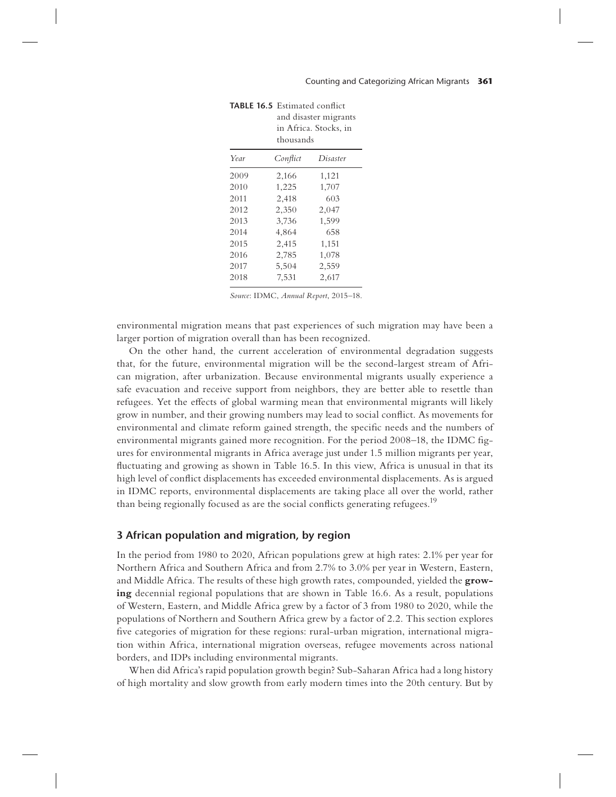|      | and disaster migrants<br>in Africa. Stocks, in<br>thousands |          |
|------|-------------------------------------------------------------|----------|
| Year | Conflict                                                    | Disaster |
| 2009 | 2,166                                                       | 1,121    |
| 2010 | 1,225                                                       | 1,707    |
| 2011 | 2,418                                                       | 603      |
| 2012 | 2,350                                                       | 2,047    |
| 2013 | 3,736                                                       | 1,599    |
| 2014 | 4,864                                                       | 658      |
| 2015 | 2,415                                                       | 1,151    |
| 2016 | 2,785                                                       | 1,078    |
| 2017 | 5,504                                                       | 2,559    |
| 2018 | 7,531                                                       | 2,617    |

| <b>TABLE 16.5</b> Estimated conflict |
|--------------------------------------|
| and disaster migran                  |

*Source*: IDMC, *Annual Report*, 2015–18.

environmental migration means that past experiences of such migration may have been a larger portion of migration overall than has been recognized.

On the other hand, the current acceleration of environmental degradation suggests that, for the future, environmental migration will be the second-largest stream of African migration, after urbanization. Because environmental migrants usually experience a safe evacuation and receive support from neighbors, they are better able to resettle than refugees. Yet the effects of global warming mean that environmental migrants will likely grow in number, and their growing numbers may lead to social conflict. As movements for environmental and climate reform gained strength, the specific needs and the numbers of environmental migrants gained more recognition. For the period  $2008-18$ , the IDMC figures for environmental migrants in Africa average just under 1.5 million migrants per year, fluctuating and growing as shown in Table 16.5. In this view, Africa is unusual in that its high level of conflict displacements has exceeded environmental displacements. As is argued in IDMC reports, environmental displacements are taking place all over the world, rather than being regionally focused as are the social conflicts generating refugees.<sup>19</sup>

## **3 African population and migration, by region**

In the period from 1980 to 2020, African populations grew at high rates: 2.1% per year for Northern Africa and Southern Africa and from 2.7% to 3.0% per year in Western, Eastern, and Middle Africa. The results of these high growth rates, compounded, yielded the **growing** decennial regional populations that are shown in Table 16.6. As a result, populations of Western, Eastern, and Middle Africa grew by a factor of 3 from 1980 to 2020, while the populations of Northern and Southern Africa grew by a factor of 2.2. This section explores five categories of migration for these regions: rural-urban migration, international migration within Africa, international migration overseas, refugee movements across national borders, and IDPs including environmental migrants.

When did Africa's rapid population growth begin? Sub-Saharan Africa had a long history of high mortality and slow growth from early modern times into the 20th century. But by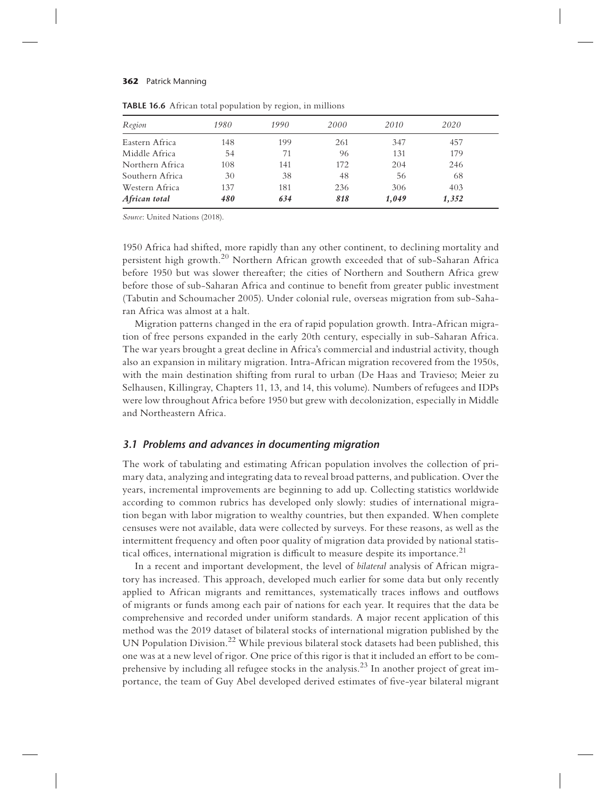| Region          | 1980 | 1990 | 2000 | 2010  | 2020  |  |
|-----------------|------|------|------|-------|-------|--|
| Eastern Africa  | 148  | 199  | 261  | 347   | 457   |  |
| Middle Africa   | 54   | 71   | 96   | 131   | 179   |  |
| Northern Africa | 108  | 141  | 172  | 204   | 246   |  |
| Southern Africa | 30   | 38   | 48   | 56    | 68    |  |
| Western Africa  | 137  | 181  | 236  | 306   | 403   |  |
| African total   | 480  | 634  | 818  | 1,049 | 1,352 |  |
|                 |      |      |      |       |       |  |

**TABLE 16.6** African total population by region, in millions

*Source*: United Nations (2018).

1950 Africa had shifted, more rapidly than any other continent, to declining mortality and persistent high growth.<sup>20</sup> Northern African growth exceeded that of sub-Saharan Africa before 1950 but was slower thereafter; the cities of Northern and Southern Africa grew before those of sub-Saharan Africa and continue to benefit from greater public investment (Tabutin and Schoumacher 2005). Under colonial rule, overseas migration from sub-Saharan Africa was almost at a halt.

Migration patterns changed in the era of rapid population growth. Intra-African migration of free persons expanded in the early 20th century, especially in sub-Saharan Africa. The war years brought a great decline in Africa's commercial and industrial activity, though also an expansion in military migration. Intra-African migration recovered from the 1950s, with the main destination shifting from rural to urban (De Haas and Travieso; Meier zu Selhausen, Killingray, Chapters 11, 13, and 14, this volume). Numbers of refugees and IDPs were low throughout Africa before 1950 but grew with decolonization, especially in Middle and Northeastern Africa.

### *3.1 Problems and advances in documenting migration*

The work of tabulating and estimating African population involves the collection of primary data, analyzing and integrating data to reveal broad patterns, and publication. Over the years, incremental improvements are beginning to add up. Collecting statistics worldwide according to common rubrics has developed only slowly: studies of international migration began with labor migration to wealthy countries, but then expanded. When complete censuses were not available, data were collected by surveys. For these reasons, as well as the intermittent frequency and often poor quality of migration data provided by national statistical offices, international migration is difficult to measure despite its importance.<sup>21</sup>

In a recent and important development, the level of *bilateral* analysis of African migratory has increased. This approach, developed much earlier for some data but only recently applied to African migrants and remittances, systematically traces inflows and outflows of migrants or funds among each pair of nations for each year. It requires that the data be comprehensive and recorded under uniform standards. A major recent application of this method was the 2019 dataset of bilateral stocks of international migration published by the UN Population Division.<sup>22</sup> While previous bilateral stock datasets had been published, this one was at a new level of rigor. One price of this rigor is that it included an effort to be comprehensive by including all refugee stocks in the analysis.<sup>23</sup> In another project of great importance, the team of Guy Abel developed derived estimates of five-year bilateral migrant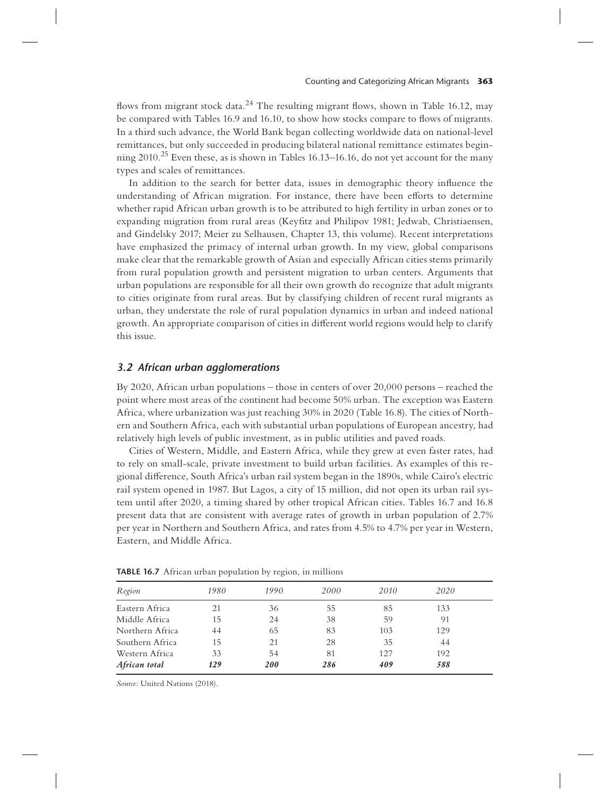flows from migrant stock data.<sup>24</sup> The resulting migrant flows, shown in Table 16.12, may be compared with Tables 16.9 and 16.10, to show how stocks compare to flows of migrants. In a third such advance, the World Bank began collecting worldwide data on national-level remittances, but only succeeded in producing bilateral national remittance estimates beginning 2010.<sup>25</sup> Even these, as is shown in Tables 16.13–16.16, do not yet account for the many types and scales of remittances.

In addition to the search for better data, issues in demographic theory influence the understanding of African migration. For instance, there have been efforts to determine whether rapid African urban growth is to be attributed to high fertility in urban zones or to expanding migration from rural areas (Keyfitz and Philipov 1981; Jedwab, Christiaensen, and Gindelsky 2017; Meier zu Selhausen, Chapter 13, this volume). Recent interpretations have emphasized the primacy of internal urban growth. In my view, global comparisons make clear that the remarkable growth of Asian and especially African cities stems primarily from rural population growth and persistent migration to urban centers. Arguments that urban populations are responsible for all their own growth do recognize that adult migrants to cities originate from rural areas. But by classifying children of recent rural migrants as urban, they understate the role of rural population dynamics in urban and indeed national growth. An appropriate comparison of cities in different world regions would help to clarify this issue.

## *3.2 African urban agglomerations*

By 2020, African urban populations – those in centers of over 20,000 persons – reached the point where most areas of the continent had become 50% urban. The exception was Eastern Africa, where urbanization was just reaching 30% in 2020 (Table 16.8). The cities of Northern and Southern Africa, each with substantial urban populations of European ancestry, had relatively high levels of public investment, as in public utilities and paved roads.

Cities of Western, Middle, and Eastern Africa, while they grew at even faster rates, had to rely on small-scale, private investment to build urban facilities. As examples of this regional di#erence, South Africa's urban rail system began in the 1890s, while Cairo's electric rail system opened in 1987. But Lagos, a city of 15 million, did not open its urban rail system until after 2020, a timing shared by other tropical African cities. Tables 16.7 and 16.8 present data that are consistent with average rates of growth in urban population of 2.7% per year in Northern and Southern Africa, and rates from 4.5% to 4.7% per year in Western, Eastern, and Middle Africa.

| Region          | 1980 | 1990 | 2000 | 2010 | 2020 |
|-----------------|------|------|------|------|------|
| Eastern Africa  | 21   | 36   | 55   | 85   | 133  |
| Middle Africa   | 15   | 24   | 38   | 59   | 91   |
| Northern Africa | 44   | 65   | 83   | 103  | 129  |
| Southern Africa | 15   | 21   | 28   | 35   | 44   |
| Western Africa  | 33   | 54   | 81   | 127  | 192  |
| African total   | 129  | 200  | 286  | 409  | 588  |
|                 |      |      |      |      |      |

**TABLE 16.7** African urban population by region, in millions

*Source*: United Nations (2018).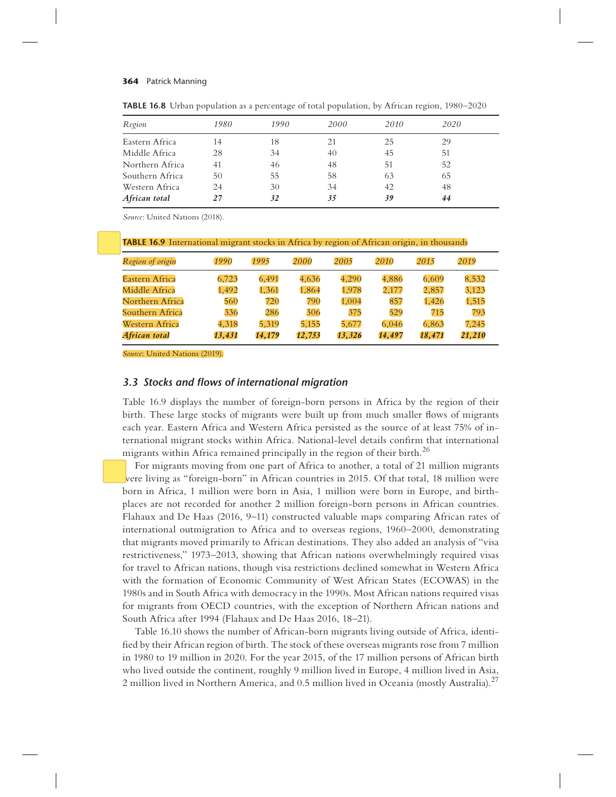| Region          | 1980 | 1990 | 2000 | 2010 | 2020 |  |
|-----------------|------|------|------|------|------|--|
| Eastern Africa  | 14   | 18   | 21   | 25   | 29   |  |
| Middle Africa   | 28   | 34   | 40   | 45   | 51   |  |
| Northern Africa | 41   | 46   | 48   | 51   | 52   |  |
| Southern Africa | 50   | 55   | 58   | 63   | 65   |  |
| Western Africa  | 24   | 30   | 34   | 42   | 48   |  |
| African total   | 27   | 32   | 35   | 39   | 44   |  |

**TABLE 16.8** Urban population as a percentage of total population, by African region, 1980–2020

*Source*: United Nations (2018).

| TABLE 16.9 International migrant stocks in Africa by region of African origin, in thousands |
|---------------------------------------------------------------------------------------------|
|---------------------------------------------------------------------------------------------|

| Region of origin | 1990   | 1995   | 2000   | 2005   | 2010   | 2015   | 2019   |
|------------------|--------|--------|--------|--------|--------|--------|--------|
| Eastern Africa   | 6,723  | 6,491  | 4,636  | 4.290  | 4,886  | 6,609  | 8,532  |
| Middle Africa    | 1,492  | 1,361  | 1,864  | 1,978  | 2,177  | 2,857  | 3,123  |
| Northern Africa  | 560    | 720    | 790    | 1.004  | 857    | 1,426  | 1,515  |
| Southern Africa  | 336    | 286    | 306    | 375    | 529    | 715    | 793    |
| Western Africa   | 4,318  | 5,319  | 5,155  | 5,677  | 6,046  | 6,863  | 7,245  |
| African total    | 13,431 | 14,179 | 12,753 | 13,326 | 14,497 | 18,471 | 21,210 |

*Source*: United Nations (2019).

## *3.3 Stocks and !ows of international migration*

Table 16.9 displays the number of foreign-born persons in Africa by the region of their birth. These large stocks of migrants were built up from much smaller flows of migrants each year. Eastern Africa and Western Africa persisted as the source of at least 75% of international migrant stocks within Africa. National-level details confirm that international migrants within Africa remained principally in the region of their birth.<sup>26</sup>

For migrants moving from one part of Africa to another, a total of 21 million migrants were living as "foreign-born" in African countries in 2015. Of that total, 18 million were born in Africa, 1 million were born in Asia, 1 million were born in Europe, and birthplaces are not recorded for another 2 million foreign-born persons in African countries. Flahaux and De Haas (2016, 9–11) constructed valuable maps comparing African rates of international outmigration to Africa and to overseas regions, 1960–2000, demonstrating that migrants moved primarily to African destinations. They also added an analysis of "visa restrictiveness," 1973–2013, showing that African nations overwhelmingly required visas for travel to African nations, though visa restrictions declined somewhat in Western Africa with the formation of Economic Community of West African States (ECOWAS) in the 1980s and in South Africa with democracy in the 1990s. Most African nations required visas for migrants from OECD countries, with the exception of Northern African nations and South Africa after 1994 (Flahaux and De Haas 2016, 18–21).

Table 16.10 shows the number of African-born migrants living outside of Africa, identi fied by their African region of birth. The stock of these overseas migrants rose from 7 million in 1980 to 19 million in 2020. For the year 2015, of the 17 million persons of African birth who lived outside the continent, roughly 9 million lived in Europe, 4 million lived in Asia, 2 million lived in Northern America, and 0.5 million lived in Oceania (mostly Australia).<sup>27</sup>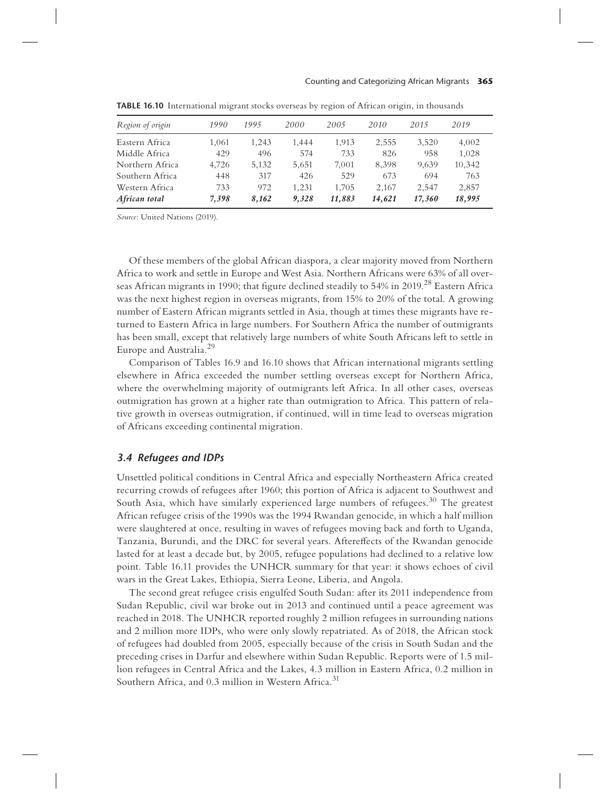#### Counting and Categorizing African Migrants **365**

| Region of origin | 1990  | 1995  | 2000  | 2005   | 2010   | 2015   | 2019   |  |
|------------------|-------|-------|-------|--------|--------|--------|--------|--|
| Eastern Africa   | 1,061 | 1.243 | 1,444 | 1.913  | 2,555  | 3,520  | 4,002  |  |
| Middle Africa    | 429   | 496   | 574   | 733    | 826    | 958    | 1,028  |  |
| Northern Africa  | 4,726 | 5,132 | 5,651 | 7.001  | 8,398  | 9,639  | 10,342 |  |
| Southern Africa  | 448   | 317   | 426   | 529    | 673    | 694    | 763    |  |
| Western Africa   | 733   | 972   | 1.231 | 1.705  | 2.167  | 2.547  | 2,857  |  |
| African total    | 7.398 | 8.162 | 9.328 | 11,883 | 14,621 | 17,360 | 18,995 |  |

**TABLE 16.10** International migrant stocks overseas by region of African origin, in thousands

*Source*: United Nations (2019).

Of these members of the global African diaspora, a clear majority moved from Northern Africa to work and settle in Europe and West Asia. Northern Africans were 63% of all overseas African migrants in 1990; that figure declined steadily to 54% in 2019.<sup>28</sup> Eastern Africa was the next highest region in overseas migrants, from 15% to 20% of the total. A growing number of Eastern African migrants settled in Asia, though at times these migrants have returned to Eastern Africa in large numbers. For Southern Africa the number of outmigrants has been small, except that relatively large numbers of white South Africans left to settle in Europe and Australia.<sup>29</sup>

Comparison of Tables 16.9 and 16.10 shows that African international migrants settling elsewhere in Africa exceeded the number settling overseas except for Northern Africa, where the overwhelming majority of outmigrants left Africa. In all other cases, overseas outmigration has grown at a higher rate than outmigration to Africa. This pattern of relative growth in overseas outmigration, if continued, will in time lead to overseas migration of Africans exceeding continental migration.

## *3.4 Refugees and IDPs*

Unsettled political conditions in Central Africa and especially Northeastern Africa created recurring crowds of refugees after 1960; this portion of Africa is adjacent to Southwest and South Asia, which have similarly experienced large numbers of refugees.<sup>30</sup> The greatest African refugee crisis of the 1990s was the 1994 Rwandan genocide, in which a half million were slaughtered at once, resulting in waves of refugees moving back and forth to Uganda, Tanzania, Burundi, and the DRC for several years. Aftere#ects of the Rwandan genocide lasted for at least a decade but, by 2005, refugee populations had declined to a relative low point. Table 16.11 provides the UNHCR summary for that year: it shows echoes of civil wars in the Great Lakes, Ethiopia, Sierra Leone, Liberia, and Angola.

The second great refugee crisis engulfed South Sudan: after its 2011 independence from Sudan Republic, civil war broke out in 2013 and continued until a peace agreement was reached in 2018. The UNHCR reported roughly 2 million refugees in surrounding nations and 2 million more IDPs, who were only slowly repatriated. As of 2018, the African stock of refugees had doubled from 2005, especially because of the crisis in South Sudan and the preceding crises in Darfur and elsewhere within Sudan Republic. Reports were of 1.5 million refugees in Central Africa and the Lakes, 4.3 million in Eastern Africa, 0.2 million in Southern Africa, and 0.3 million in Western Africa.<sup>31</sup>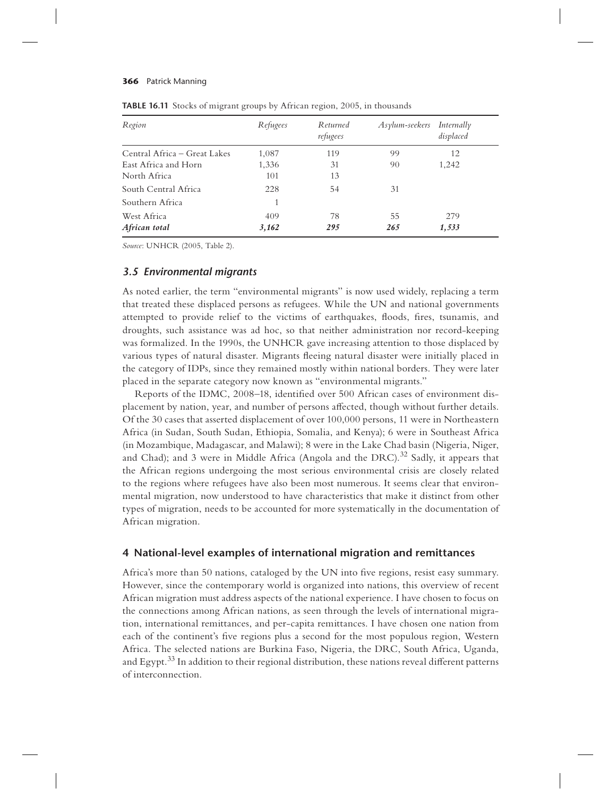| Region                       | Refugees | Returned<br>refugees | Asylum-seekers | Internally<br>displaced |
|------------------------------|----------|----------------------|----------------|-------------------------|
| Central Africa – Great Lakes | 1,087    | 119                  | 99             | 12                      |
| East Africa and Horn         | 1,336    | 31                   | 90             | 1,242                   |
| North Africa                 | 101      | 13                   |                |                         |
| South Central Africa         | 228      | 54                   | 31             |                         |
| Southern Africa              |          |                      |                |                         |
| West Africa                  | 409      | 78                   | 55             | 279                     |
| African total                | 3,162    | 295                  | 265            | 1,533                   |

**TABLE 16.11** Stocks of migrant groups by African region, 2005, in thousands

*Source*: UNHCR (2005, Table 2).

# *3.5 Environmental migrants*

As noted earlier, the term "environmental migrants" is now used widely, replacing a term that treated these displaced persons as refugees. While the UN and national governments attempted to provide relief to the victims of earthquakes, floods, fires, tsunamis, and droughts, such assistance was ad hoc, so that neither administration nor record-keeping was formalized. In the 1990s, the UNHCR gave increasing attention to those displaced by various types of natural disaster. Migrants fleeing natural disaster were initially placed in the category of IDPs, since they remained mostly within national borders. They were later placed in the separate category now known as "environmental migrants."

Reports of the IDMC, 2008–18, identified over 500 African cases of environment displacement by nation, year, and number of persons a#ected, though without further details. Of the 30 cases that asserted displacement of over 100,000 persons, 11 were in Northeastern Africa (in Sudan, South Sudan, Ethiopia, Somalia, and Kenya); 6 were in Southeast Africa (in Mozambique, Madagascar, and Malawi); 8 were in the Lake Chad basin (Nigeria, Niger, and Chad); and 3 were in Middle Africa (Angola and the DRC).<sup>32</sup> Sadly, it appears that the African regions undergoing the most serious environmental crisis are closely related to the regions where refugees have also been most numerous. It seems clear that environmental migration, now understood to have characteristics that make it distinct from other types of migration, needs to be accounted for more systematically in the documentation of African migration.

## **4 National-level examples of international migration and remittances**

Africa's more than 50 nations, cataloged by the UN into five regions, resist easy summary. However, since the contemporary world is organized into nations, this overview of recent African migration must address aspects of the national experience. I have chosen to focus on the connections among African nations, as seen through the levels of international migration, international remittances, and per-capita remittances. I have chosen one nation from each of the continent's five regions plus a second for the most populous region, Western Africa. The selected nations are Burkina Faso, Nigeria, the DRC, South Africa, Uganda, and Egypt. $33$  In addition to their regional distribution, these nations reveal different patterns of interconnection.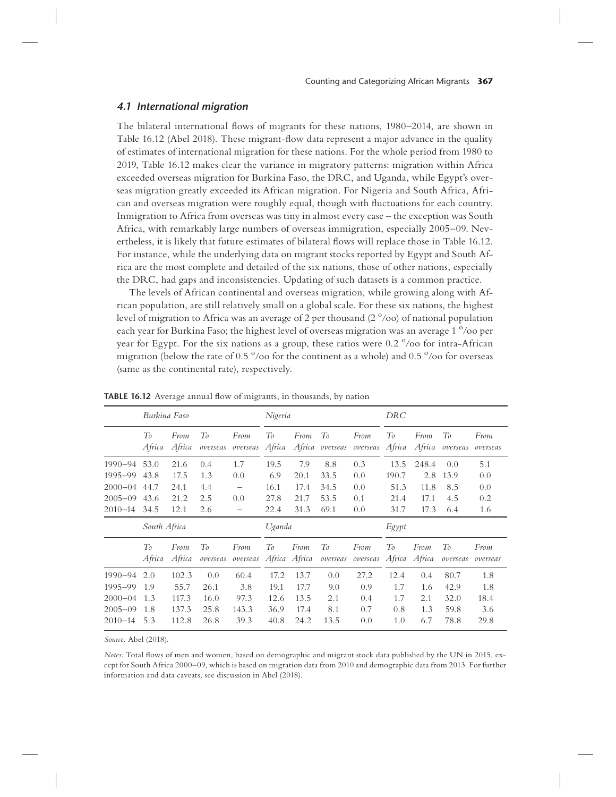# *4.1 International migration*

The bilateral international flows of migrants for these nations, 1980–2014, are shown in Table 16.12 (Abel 2018). These migrant-flow data represent a major advance in the quality of estimates of international migration for these nations. For the whole period from 1980 to 2019, Table 16.12 makes clear the variance in migratory patterns: migration within Africa exceeded overseas migration for Burkina Faso, the DRC, and Uganda, while Egypt's overseas migration greatly exceeded its African migration. For Nigeria and South Africa, African and overseas migration were roughly equal, though with fluctuations for each country. Inmigration to Africa from overseas was tiny in almost every case – the exception was South Africa, with remarkably large numbers of overseas immigration, especially 2005–09. Nevertheless, it is likely that future estimates of bilateral flows will replace those in Table 16.12. For instance, while the underlying data on migrant stocks reported by Egypt and South Africa are the most complete and detailed of the six nations, those of other nations, especially the DRC, had gaps and inconsistencies. Updating of such datasets is a common practice.

The levels of African continental and overseas migration, while growing along with African population, are still relatively small on a global scale. For these six nations, the highest level of migration to Africa was an average of 2 per thousand (2  $\degree$ /00) of national population each year for Burkina Faso; the highest level of overseas migration was an average  $1^{\degree}/$ oo per year for Egypt. For the six nations as a group, these ratios were  $0.2$  % of or intra-African migration (below the rate of  $0.5^{\circ}/\infty$  for the continent as a whole) and  $0.5^{\circ}/\infty$  for overseas (same as the continental rate), respectively.

|                                                                     | Burkina Faso                    |                                          |                                     |                                      |                                      | Nigeria                              |                                  |                                         | DRC                              |                                 |                                      |                                   |
|---------------------------------------------------------------------|---------------------------------|------------------------------------------|-------------------------------------|--------------------------------------|--------------------------------------|--------------------------------------|----------------------------------|-----------------------------------------|----------------------------------|---------------------------------|--------------------------------------|-----------------------------------|
|                                                                     | To<br>Africa                    | From<br>Africa                           | To<br>overseas                      | From<br>overseas                     | To<br>Africa                         | From                                 | To                               | From<br>Africa overseas overseas        | To<br>Africa                     | From<br>Africa                  | To<br>overseas                       | From<br>overseas                  |
| 1990–94<br>1995–99                                                  | 53.0<br>43.8                    | 21.6<br>17.5                             | 0.4<br>1.3                          | 1.7<br>0.0                           | 19.5<br>6.9                          | 7.9<br>20.1                          | 8.8<br>33.5                      | 0.3<br>0.0                              | 13.5<br>190.7                    | 248.4<br>2.8                    | 0.0<br>13.9                          | 5.1<br>0.0                        |
| $2000 - 04$<br>$2005 - 09$<br>$2010 - 14$                           | 44.7<br>43.6<br>34.5            | 24.1<br>21.2<br>12.1                     | 4.4<br>2.5<br>2.6                   | —<br>0.0<br>-                        | 16.1<br>27.8<br>22.4                 | 17.4<br>21.7<br>31.3                 | 34.5<br>53.5<br>69.1             | 0.0<br>0.1<br>0.0                       | 51.3<br>21.4<br>31.7             | 11.8<br>17.1<br>17.3            | 8.5<br>4.5<br>6.4                    | 0.0<br>0.2<br>1.6                 |
|                                                                     | South Africa                    |                                          |                                     |                                      | Uganda                               |                                      |                                  | Egypt                                   |                                  |                                 |                                      |                                   |
|                                                                     | To<br>Africa                    | From<br>Africa                           | To<br>overseas                      | From<br>overseas                     | Tо                                   | From<br>Africa Africa                | To                               | From<br>overseas overseas Africa Africa | To                               | From                            | To<br>overseas                       | From<br>overseas                  |
| $1990 - 94$<br>1995-99<br>$2000 - 04$<br>$2005 - 09$<br>$2010 - 14$ | 2.0<br>1.9<br>1.3<br>1.8<br>5.3 | 102.3<br>55.7<br>117.3<br>137.3<br>112.8 | 0.0<br>26.1<br>16.0<br>25.8<br>26.8 | 60.4<br>3.8<br>97.3<br>143.3<br>39.3 | 17.2<br>19.1<br>12.6<br>36.9<br>40.8 | 13.7<br>17.7<br>13.5<br>17.4<br>24.2 | 0.0<br>9.0<br>2.1<br>8.1<br>13.5 | 27.2<br>0.9<br>0.4<br>0.7<br>0.0        | 12.4<br>1.7<br>1.7<br>0.8<br>1.0 | 0.4<br>1.6<br>2.1<br>1.3<br>6.7 | 80.7<br>42.9<br>32.0<br>59.8<br>78.8 | 1.8<br>1.8<br>18.4<br>3.6<br>29.8 |

**TABLE 16.12** Average annual flow of migrants, in thousands, by nation

*Source:* Abel (2018).

*Notes:* Total flows of men and women, based on demographic and migrant stock data published by the UN in 2015, except for South Africa 2000–09, which is based on migration data from 2010 and demographic data from 2013. For further information and data caveats, see discussion in Abel (2018).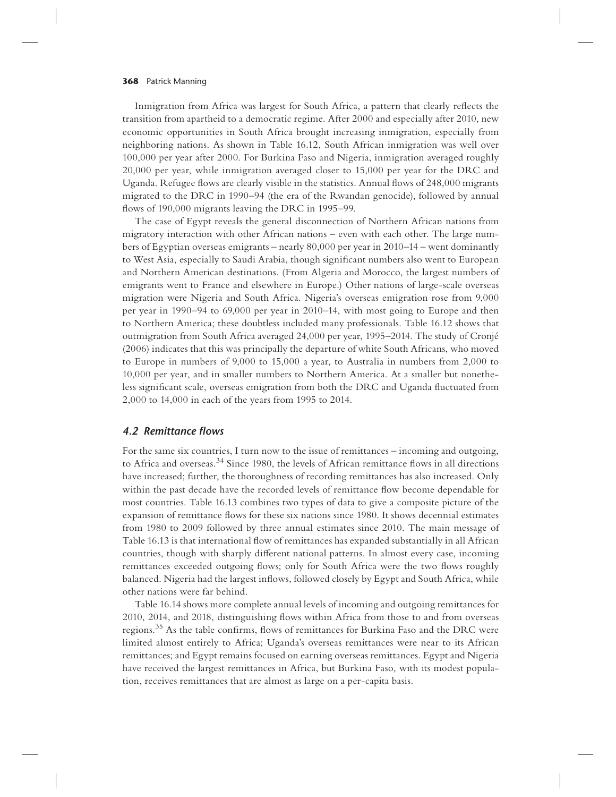Inmigration from Africa was largest for South Africa, a pattern that clearly reflects the transition from apartheid to a democratic regime. After 2000 and especially after 2010, new economic opportunities in South Africa brought increasing inmigration, especially from neighboring nations. As shown in Table 16.12, South African inmigration was well over 100,000 per year after 2000. For Burkina Faso and Nigeria, inmigration averaged roughly 20,000 per year, while inmigration averaged closer to 15,000 per year for the DRC and Uganda. Refugee flows are clearly visible in the statistics. Annual flows of  $248,000$  migrants migrated to the DRC in 1990–94 (the era of the Rwandan genocide), followed by annual flows of 190,000 migrants leaving the DRC in 1995–99.

The case of Egypt reveals the general disconnection of Northern African nations from migratory interaction with other African nations – even with each other. The large numbers of Egyptian overseas emigrants – nearly 80,000 per year in 2010–14 – went dominantly to West Asia, especially to Saudi Arabia, though significant numbers also went to European and Northern American destinations. (From Algeria and Morocco, the largest numbers of emigrants went to France and elsewhere in Europe.) Other nations of large-scale overseas migration were Nigeria and South Africa. Nigeria's overseas emigration rose from 9,000 per year in 1990–94 to 69,000 per year in 2010–14, with most going to Europe and then to Northern America; these doubtless included many professionals. Table 16.12 shows that outmigration from South Africa averaged 24,000 per year, 1995–2014. The study of Cronjé (2006) indicates that this was principally the departure of white South Africans, who moved to Europe in numbers of 9,000 to 15,000 a year, to Australia in numbers from 2,000 to 10,000 per year, and in smaller numbers to Northern America. At a smaller but nonetheless significant scale, overseas emigration from both the DRC and Uganda fluctuated from 2,000 to 14,000 in each of the years from 1995 to 2014.

# *4.2 Remittance !ows*

For the same six countries, I turn now to the issue of remittances – incoming and outgoing, to Africa and overseas.<sup>34</sup> Since 1980, the levels of African remittance flows in all directions have increased; further, the thoroughness of recording remittances has also increased. Only within the past decade have the recorded levels of remittance flow become dependable for most countries. Table 16.13 combines two types of data to give a composite picture of the expansion of remittance flows for these six nations since 1980. It shows decennial estimates from 1980 to 2009 followed by three annual estimates since 2010. The main message of Table 16.13 is that international flow of remittances has expanded substantially in all African countries, though with sharply different national patterns. In almost every case, incoming remittances exceeded outgoing flows; only for South Africa were the two flows roughly balanced. Nigeria had the largest inflows, followed closely by Egypt and South Africa, while other nations were far behind.

Table 16.14 shows more complete annual levels of incoming and outgoing remittances for 2010, 2014, and 2018, distinguishing flows within Africa from those to and from overseas regions.<sup>35</sup> As the table confirms, flows of remittances for Burkina Faso and the DRC were limited almost entirely to Africa; Uganda's overseas remittances were near to its African remittances; and Egypt remains focused on earning overseas remittances. Egypt and Nigeria have received the largest remittances in Africa, but Burkina Faso, with its modest population, receives remittances that are almost as large on a per-capita basis.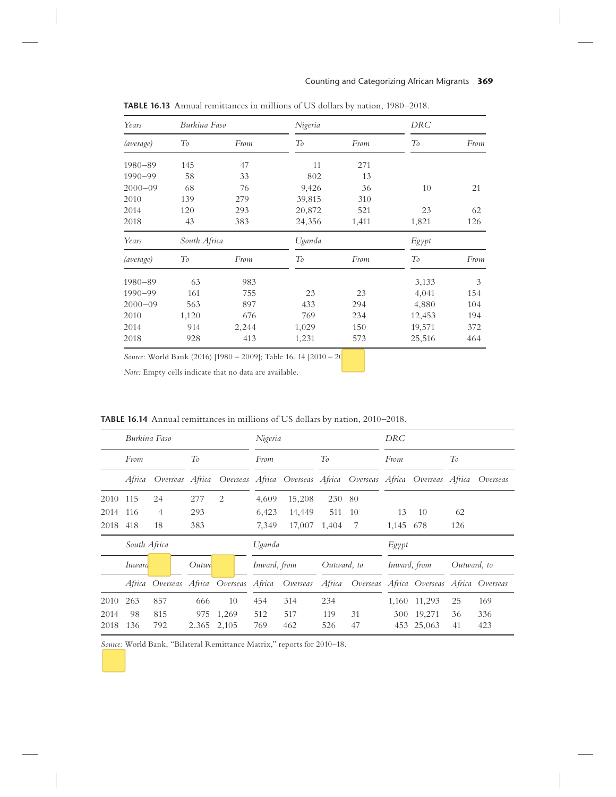| Years       | Burkina Faso |       | Nigeria |       | <b>DRC</b> |      |
|-------------|--------------|-------|---------|-------|------------|------|
| (average)   | To           | From  | To      | From  | To         | From |
| $1980 - 89$ | 145          | 47    | 11      | 271   |            |      |
| $1990 - 99$ | 58           | 33    | 802     | 13    |            |      |
| $2000 - 09$ | 68           | 76    | 9,426   | 36    | 10         | 21   |
| 2010        | 139          | 279   | 39,815  | 310   |            |      |
| 2014        | 120          | 293   | 20,872  | 521   | 23         | 62   |
| 2018        | 43           | 383   | 24,356  | 1,411 | 1,821      | 126  |
| Years       | South Africa |       | Uganda  |       | Egypt      |      |
| (average)   | To           | From  | To      | From  | To         | From |
| $1980 - 89$ | 63           | 983   |         |       | 3,133      | 3    |
| 1990-99     | 161          | 755   | 23      | 23    | 4,041      | 154  |
| $2000 - 09$ | 563          | 897   | 433     | 294   | 4,880      | 104  |
| 2010        | 1,120        | 676   | 769     | 234   | 12,453     | 194  |
| 2014        | 914          | 2,244 | 1,029   | 150   | 19,571     | 372  |
| 2018        | 928          | 413   | 1,231   | 573   | 25,516     | 464  |

**TABLE 16.13** Annual remittances in millions of US dollars by nation, 1980–2018.

*Source*: World Bank (2016) [1980 – 2009]; Table 16. 14 [2010 – 20

*Note:* Empty cells indicate that no data are available.

**TABLE 16.14** Annual remittances in millions of US dollars by nation, 2010–2018.

|          | Burkina Faso |                 |       |                                                                 | Nigeria      |        |             |      | DRC          |                                          |             |          |
|----------|--------------|-----------------|-------|-----------------------------------------------------------------|--------------|--------|-------------|------|--------------|------------------------------------------|-------------|----------|
|          | From         |                 | To    |                                                                 | From         |        | To          |      | From         |                                          | To          |          |
|          | Africa       | Overseas Africa |       | Overseas Africa Overseas Africa Overseas Africa Overseas Africa |              |        |             |      |              |                                          |             | Overseas |
| 2010 115 |              | 24              | 277   | 2                                                               | 4.609        | 15,208 | 230         | - 80 |              |                                          |             |          |
| 2014     | -116         | $\overline{4}$  | 293   |                                                                 | 6,423        | 14,449 | 511         | 10   | 13           | 10                                       | 62          |          |
| 2018 418 |              | 18              | 383   |                                                                 | 7,349        | 17,007 | 1.404       | 7    | 1,145        | 678                                      | 126         |          |
|          | South Africa |                 |       |                                                                 | Uganda       |        |             |      | Egypt        |                                          |             |          |
|          | Inward       |                 | Outwa |                                                                 | Inward, from |        | Outward, to |      | Inward, from |                                          | Outward, to |          |
|          |              |                 |       | Africa Overseas Africa Overseas Africa Overseas                 |              |        | Africa      |      |              | Overseas Africa Overseas Africa Overseas |             |          |
| 2010     | 263          | 857             | 666   | 10                                                              | 454          | 314    | 234         |      | 1.160        | 11,293                                   | 25          | 169      |
| 2014     | 98           | 815             | 975   | 1,269                                                           | 512          | 517    | 119         | 31   | 300          | 19,271                                   | 36          | 336      |
| 2018     | 136          | 792             | 2.365 | 2,105                                                           | 769          | 462    | 526         | 47   | 453          | 25,063                                   | 41          | 423      |

*Source:* World Bank, "Bilateral Remittance Matrix," reports for 2010–18.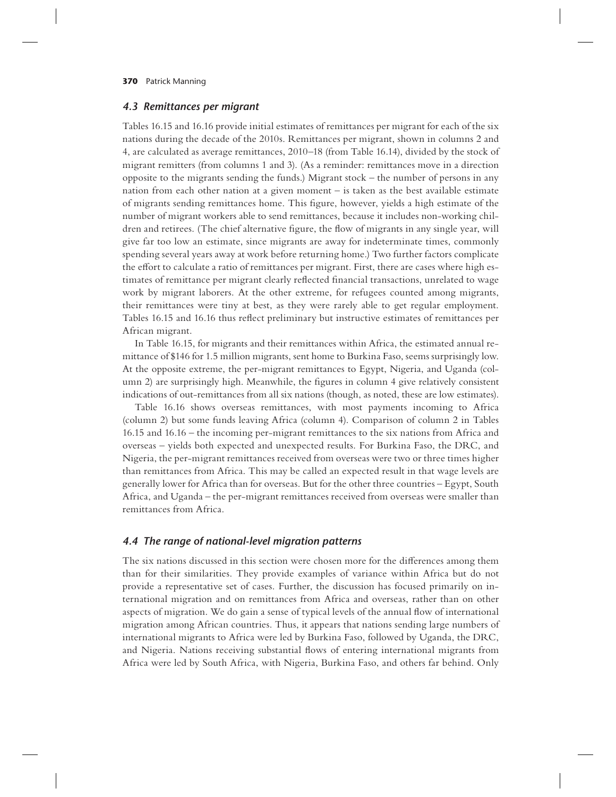#### *4.3 Remittances per migrant*

Tables 16.15 and 16.16 provide initial estimates of remittances per migrant for each of the six nations during the decade of the 2010s. Remittances per migrant, shown in columns 2 and 4, are calculated as average remittances, 2010–18 (from Table 16.14), divided by the stock of migrant remitters (from columns 1 and 3). (As a reminder: remittances move in a direction opposite to the migrants sending the funds.) Migrant stock – the number of persons in any nation from each other nation at a given moment – is taken as the best available estimate of migrants sending remittances home. This figure, however, yields a high estimate of the number of migrant workers able to send remittances, because it includes non-working children and retirees. (The chief alternative figure, the flow of migrants in any single year, will give far too low an estimate, since migrants are away for indeterminate times, commonly spending several years away at work before returning home.) Two further factors complicate the effort to calculate a ratio of remittances per migrant. First, there are cases where high estimates of remittance per migrant clearly reflected financial transactions, unrelated to wage work by migrant laborers. At the other extreme, for refugees counted among migrants, their remittances were tiny at best, as they were rarely able to get regular employment. Tables 16.15 and 16.16 thus reflect preliminary but instructive estimates of remittances per African migrant.

In Table 16.15, for migrants and their remittances within Africa, the estimated annual remittance of \$146 for 1.5 million migrants, sent home to Burkina Faso, seems surprisingly low. At the opposite extreme, the per-migrant remittances to Egypt, Nigeria, and Uganda (column 2) are surprisingly high. Meanwhile, the figures in column 4 give relatively consistent indications of out-remittances from all six nations (though, as noted, these are low estimates).

Table 16.16 shows overseas remittances, with most payments incoming to Africa (column 2) but some funds leaving Africa (column 4). Comparison of column 2 in Tables 16.15 and 16.16 – the incoming per-migrant remittances to the six nations from Africa and overseas – yields both expected and unexpected results. For Burkina Faso, the DRC, and Nigeria, the per-migrant remittances received from overseas were two or three times higher than remittances from Africa. This may be called an expected result in that wage levels are generally lower for Africa than for overseas. But for the other three countries – Egypt, South Africa, and Uganda – the per-migrant remittances received from overseas were smaller than remittances from Africa.

# *4.4 The range of national-level migration patterns*

The six nations discussed in this section were chosen more for the differences among them than for their similarities. They provide examples of variance within Africa but do not provide a representative set of cases. Further, the discussion has focused primarily on international migration and on remittances from Africa and overseas, rather than on other aspects of migration. We do gain a sense of typical levels of the annual flow of international migration among African countries. Thus, it appears that nations sending large numbers of international migrants to Africa were led by Burkina Faso, followed by Uganda, the DRC, and Nigeria. Nations receiving substantial flows of entering international migrants from Africa were led by South Africa, with Nigeria, Burkina Faso, and others far behind. Only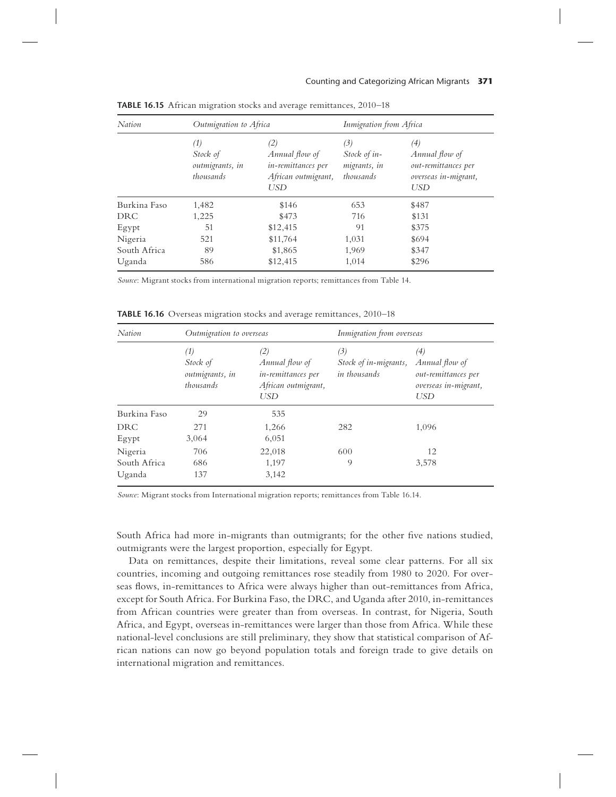| Nation       | Outmigration to Africa                          |                                                                                  | Inmigration from Africa                          |                                                                                    |  |
|--------------|-------------------------------------------------|----------------------------------------------------------------------------------|--------------------------------------------------|------------------------------------------------------------------------------------|--|
|              | (1)<br>Stock of<br>outmigrants, in<br>thousands | (2)<br>Annual flow of<br>in-remittances per<br>African outmigrant,<br><b>USD</b> | (3)<br>Stock of in-<br>migrants, in<br>thousands | (4)<br>Annual flow of<br>out-remittances per<br>overseas in-migrant,<br><b>USD</b> |  |
| Burkina Faso | 1,482                                           | \$146                                                                            | 653                                              | \$487                                                                              |  |
| <b>DRC</b>   | 1,225                                           | \$473                                                                            | 716                                              | \$131                                                                              |  |
| Egypt        | 51                                              | \$12,415                                                                         | 91                                               | \$375                                                                              |  |
| Nigeria      | 521                                             | \$11,764                                                                         | 1,031                                            | \$694                                                                              |  |
| South Africa | 89                                              | \$1,865                                                                          | 1,969                                            | \$347                                                                              |  |
| Uganda       | 586                                             | \$12,415                                                                         | 1,014                                            | \$296                                                                              |  |

**TABLE 16.15** African migration stocks and average remittances, 2010–18

*Source*: Migrant stocks from international migration reports; remittances from Table 14.

**TABLE 16.16** Overseas migration stocks and average remittances, 2010–18

| Nation       | Outmigration to overseas                                     |                                                                                  | Inmigration from overseas                    |                                                                                    |  |
|--------------|--------------------------------------------------------------|----------------------------------------------------------------------------------|----------------------------------------------|------------------------------------------------------------------------------------|--|
|              | $\left(1\right)$<br>Stock of<br>outmigrants, in<br>thousands | (2)<br>Annual flow of<br>in-remittances per<br>African outmigrant,<br><b>USD</b> | (3)<br>Stock of in-migrants,<br>in thousands | (4)<br>Annual flow of<br>out-remittances per<br>overseas in-migrant,<br><b>USD</b> |  |
| Burkina Faso | 29                                                           | 535                                                                              |                                              |                                                                                    |  |
| <b>DRC</b>   | 271                                                          | 1,266                                                                            | 282                                          | 1,096                                                                              |  |
| Egypt        | 3,064                                                        | 6,051                                                                            |                                              |                                                                                    |  |
| Nigeria      | 706                                                          | 22,018                                                                           | 600                                          | 12                                                                                 |  |
| South Africa | 686                                                          | 1,197                                                                            | 9                                            | 3,578                                                                              |  |
| Uganda       | 137                                                          | 3,142                                                                            |                                              |                                                                                    |  |

*Source*: Migrant stocks from International migration reports; remittances from Table 16.14.

South Africa had more in-migrants than outmigrants; for the other five nations studied, outmigrants were the largest proportion, especially for Egypt.

Data on remittances, despite their limitations, reveal some clear patterns. For all six countries, incoming and outgoing remittances rose steadily from 1980 to 2020. For overseas flows, in-remittances to Africa were always higher than out-remittances from Africa, except for South Africa. For Burkina Faso, the DRC, and Uganda after 2010, in-remittances from African countries were greater than from overseas. In contrast, for Nigeria, South Africa, and Egypt, overseas in-remittances were larger than those from Africa. While these national-level conclusions are still preliminary, they show that statistical comparison of African nations can now go beyond population totals and foreign trade to give details on international migration and remittances.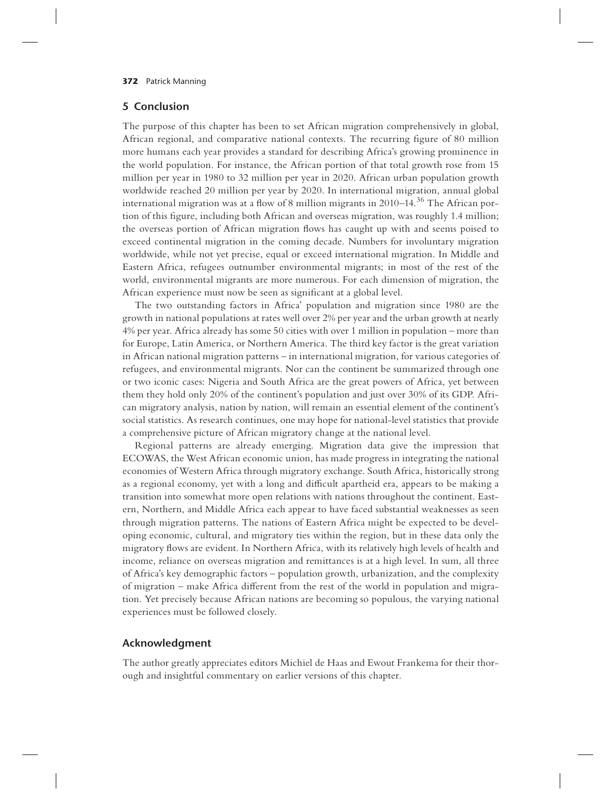## **5 Conclusion**

The purpose of this chapter has been to set African migration comprehensively in global, African regional, and comparative national contexts. The recurring figure of 80 million more humans each year provides a standard for describing Africa's growing prominence in the world population. For instance, the African portion of that total growth rose from 15 million per year in 1980 to 32 million per year in 2020. African urban population growth worldwide reached 20 million per year by 2020. In international migration, annual global international migration was at a flow of 8 million migrants in 2010–14. $36$  The African portion of this figure, including both African and overseas migration, was roughly 1.4 million; the overseas portion of African migration flows has caught up with and seems poised to exceed continental migration in the coming decade. Numbers for involuntary migration worldwide, while not yet precise, equal or exceed international migration. In Middle and Eastern Africa, refugees outnumber environmental migrants; in most of the rest of the world, environmental migrants are more numerous. For each dimension of migration, the African experience must now be seen as significant at a global level.

The two outstanding factors in Africa' population and migration since 1980 are the growth in national populations at rates well over 2% per year and the urban growth at nearly 4% per year. Africa already has some 50 cities with over 1 million in population – more than for Europe, Latin America, or Northern America. The third key factor is the great variation in African national migration patterns – in international migration, for various categories of refugees, and environmental migrants. Nor can the continent be summarized through one or two iconic cases: Nigeria and South Africa are the great powers of Africa, yet between them they hold only 20% of the continent's population and just over 30% of its GDP. African migratory analysis, nation by nation, will remain an essential element of the continent's social statistics. As research continues, one may hope for national-level statistics that provide a comprehensive picture of African migratory change at the national level.

Regional patterns are already emerging. Migration data give the impression that ECOWAS, the West African economic union, has made progress in integrating the national economies of Western Africa through migratory exchange. South Africa, historically strong as a regional economy, yet with a long and difficult apartheid era, appears to be making a transition into somewhat more open relations with nations throughout the continent. Eastern, Northern, and Middle Africa each appear to have faced substantial weaknesses as seen through migration patterns. The nations of Eastern Africa might be expected to be developing economic, cultural, and migratory ties within the region, but in these data only the migratory flows are evident. In Northern Africa, with its relatively high levels of health and income, reliance on overseas migration and remittances is at a high level. In sum, all three of Africa's key demographic factors – population growth, urbanization, and the complexity of migration – make Africa different from the rest of the world in population and migration. Yet precisely because African nations are becoming so populous, the varying national experiences must be followed closely.

# **Acknowledgment**

The author greatly appreciates editors Michiel de Haas and Ewout Frankema for their thorough and insightful commentary on earlier versions of this chapter.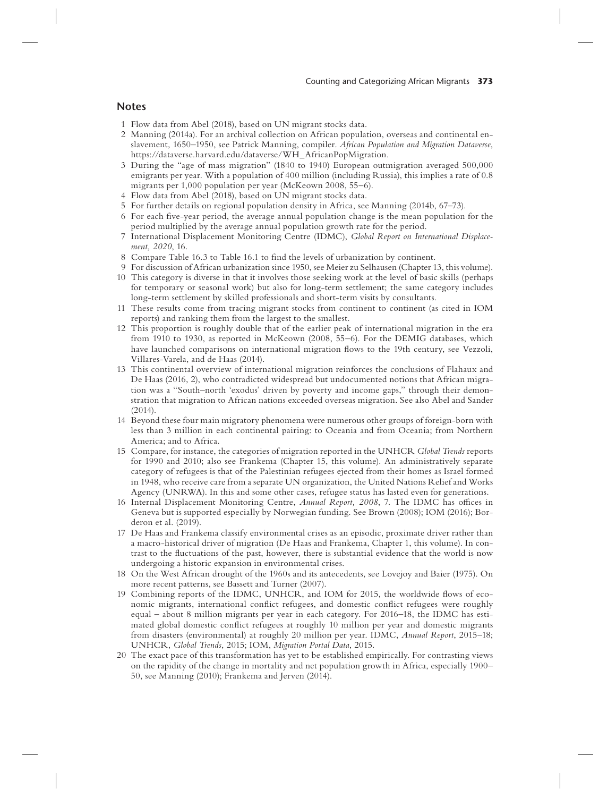## **Notes**

- 1 Flow data from Abel (2018), based on UN migrant stocks data.
- 2 Manning (2014a). For an archival collection on African population, overseas and continental enslavement, 1650–1950, see Patrick Manning, compiler. *African Population and Migration Dataverse*, https://dataverse.harvard.edu/dataverse/WH\_AfricanPopMigration.
- 3 During the "age of mass migration" (1840 to 1940) European outmigration averaged 500,000 emigrants per year. With a population of 400 million (including Russia), this implies a rate of 0.8 migrants per 1,000 population per year (McKeown 2008, 55–6).
- 4 Flow data from Abel (2018), based on UN migrant stocks data.
- 5 For further details on regional population density in Africa, see Manning (2014b, 67–73).
- 6 For each five-year period, the average annual population change is the mean population for the period multiplied by the average annual population growth rate for the period.
- 7 International Displacement Monitoring Centre (IDMC), *Global Report on International Displacement, 2020*, 16.
- 8 Compare Table 16.3 to Table 16.1 to find the levels of urbanization by continent.
- 9 For discussion of African urbanization since 1950, see Meier zu Selhausen (Chapter 13, this volume).
- 10 This category is diverse in that it involves those seeking work at the level of basic skills (perhaps for temporary or seasonal work) but also for long-term settlement; the same category includes long-term settlement by skilled professionals and short-term visits by consultants.
- 11 These results come from tracing migrant stocks from continent to continent (as cited in IOM reports) and ranking them from the largest to the smallest.
- 12 This proportion is roughly double that of the earlier peak of international migration in the era from 1910 to 1930, as reported in McKeown (2008, 55–6). For the DEMIG databases, which have launched comparisons on international migration flows to the 19th century, see Vezzoli, Villares-Varela, and de Haas (2014).
- 13 This continental overview of international migration reinforces the conclusions of Flahaux and De Haas (2016, 2), who contradicted widespread but undocumented notions that African migration was a "South–north 'exodus' driven by poverty and income gaps," through their demonstration that migration to African nations exceeded overseas migration. See also Abel and Sander  $(2014)$ .
- 14 Beyond these four main migratory phenomena were numerous other groups of foreign-born with less than 3 million in each continental pairing: to Oceania and from Oceania; from Northern America; and to Africa.
- 15 Compare, for instance, the categories of migration reported in the UNHCR *Global Trends* reports for 1990 and 2010; also see Frankema (Chapter 15, this volume). An administratively separate category of refugees is that of the Palestinian refugees ejected from their homes as Israel formed in 1948, who receive care from a separate UN organization, the United Nations Relief and Works Agency (UNRWA). In this and some other cases, refugee status has lasted even for generations.
- 16 Internal Displacement Monitoring Centre, *Annual Report, 2008*, 7. The IDMC has offices in Geneva but is supported especially by Norwegian funding. See Brown (2008); IOM (2016); Borderon et al. (2019).
- 17 De Haas and Frankema classify environmental crises as an episodic, proximate driver rather than a macro-historical driver of migration (De Haas and Frankema, Chapter 1, this volume). In contrast to the fluctuations of the past, however, there is substantial evidence that the world is now undergoing a historic expansion in environmental crises.
- 18 On the West African drought of the 1960s and its antecedents, see Lovejoy and Baier (1975). On more recent patterns, see Bassett and Turner (2007).
- 19 Combining reports of the IDMC, UNHCR, and IOM for 2015, the worldwide flows of economic migrants, international conflict refugees, and domestic conflict refugees were roughly equal – about 8 million migrants per year in each category. For 2016–18, the IDMC has estimated global domestic conflict refugees at roughly 10 million per year and domestic migrants from disasters (environmental) at roughly 20 million per year. IDMC, *Annual Report*, 2015–18; UNHCR, *Global Trends*, 2015; IOM, *Migration Portal Data*, 2015.
- 20 The exact pace of this transformation has yet to be established empirically. For contrasting views on the rapidity of the change in mortality and net population growth in Africa, especially 1900– 50, see Manning (2010); Frankema and Jerven (2014).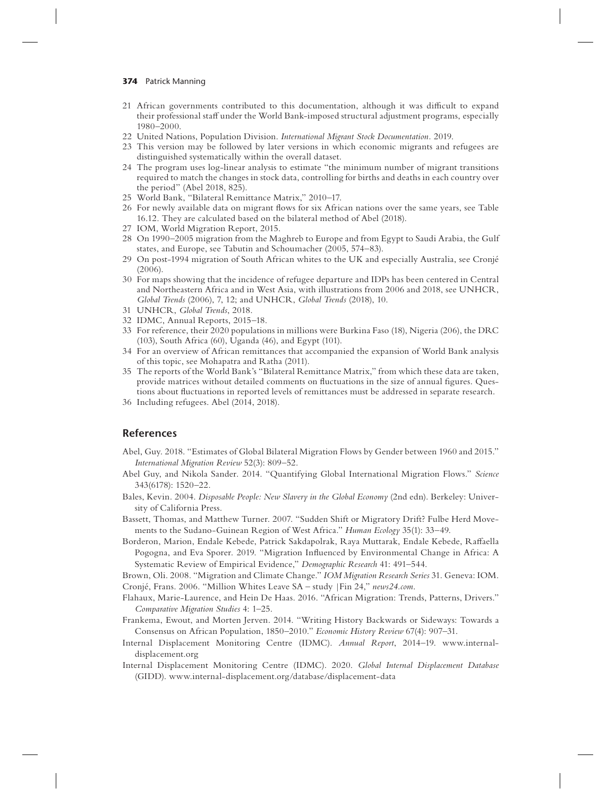- 21 African governments contributed to this documentation, although it was difficult to expand their professional staff under the World Bank-imposed structural adjustment programs, especially 1980–2000.
- 22 United Nations, Population Division. *International Migrant Stock Documentation.* 2019.
- 23 This version may be followed by later versions in which economic migrants and refugees are distinguished systematically within the overall dataset.
- 24 The program uses log-linear analysis to estimate "the minimum number of migrant transitions required to match the changes in stock data, controlling for births and deaths in each country over the period" (Abel 2018, 825).
- 25 World Bank, "Bilateral Remittance Matrix," 2010–17.
- 26 For newly available data on migrant flows for six African nations over the same years, see Table 16.12. They are calculated based on the bilateral method of Abel (2018).
- 27 IOM, World Migration Report, 2015.
- 28 On 1990–2005 migration from the Maghreb to Europe and from Egypt to Saudi Arabia, the Gulf states, and Europe, see Tabutin and Schoumacher (2005, 574–83).
- 29 On post-1994 migration of South African whites to the UK and especially Australia, see Cronjé  $(2006)$
- 30 For maps showing that the incidence of refugee departure and IDPs has been centered in Central and Northeastern Africa and in West Asia, with illustrations from 2006 and 2018, see UNHCR, *Global Trends* (2006), 7, 12; and UNHCR, *Global Trends* (2018), 10.
- 31 UNHCR, *Global Trends*, 2018.
- 32 IDMC, Annual Reports, 2015–18.
- 33 For reference, their 2020 populations in millions were Burkina Faso (18), Nigeria (206), the DRC (103), South Africa (60), Uganda (46), and Egypt (101).
- 34 For an overview of African remittances that accompanied the expansion of World Bank analysis of this topic, see Mohapatra and Ratha (2011).
- 35 The reports of the World Bank's "Bilateral Remittance Matrix," from which these data are taken, provide matrices without detailed comments on fluctuations in the size of annual figures. Questions about fluctuations in reported levels of remittances must be addressed in separate research.
- 36 Including refugees. Abel (2014, 2018).

# **References**

- Abel, Guy. 2018. "Estimates of Global Bilateral Migration Flows by Gender between 1960 and 2015." *International Migration Review* 52(3): 809–52.
- Abel Guy, and Nikola Sander. 2014. "Quantifying Global International Migration Flows." *Science* 343(6178): 1520–22.
- Bales, Kevin. 2004. *Disposable People: New Slavery in the Global Economy* (2nd edn). Berkeley: University of California Press.
- Bassett, Thomas, and Matthew Turner. 2007. "Sudden Shift or Migratory Drift? Fulbe Herd Movements to the Sudano-Guinean Region of West Africa." *Human Ecology* 35(1): 33–49.
- Borderon, Marion, Endale Kebede, Patrick Sakdapolrak, Raya Muttarak, Endale Kebede, Ra#aella Pogogna, and Eva Sporer. 2019. "Migration Influenced by Environmental Change in Africa: A Systematic Review of Empirical Evidence," *Demographic Research* 41: 491–544.

Brown, Oli. 2008. "Migration and Climate Change." *IOM Migration Research Series* 31. Geneva: IOM. Cronjé, Frans. 2006. "Million Whites Leave SA – study |Fin 24," *news24.com*.

- Flahaux, Marie-Laurence, and Hein De Haas. 2016. "African Migration: Trends, Patterns, Drivers." *Comparative Migration Studies* 4: 1–25.
- Frankema, Ewout, and Morten Jerven. 2014. "Writing History Backwards or Sideways: Towards a Consensus on African Population, 1850–2010." *Economic History Review* 67(4): 907–31.
- Internal Displacement Monitoring Centre (IDMC). *Annual Report*, 2014–19. www.internaldisplacement.org
- Internal Displacement Monitoring Centre (IDMC). 2020. *Global Internal Displacement Database* (GIDD). www.internal-displacement.org/database/displacement-data